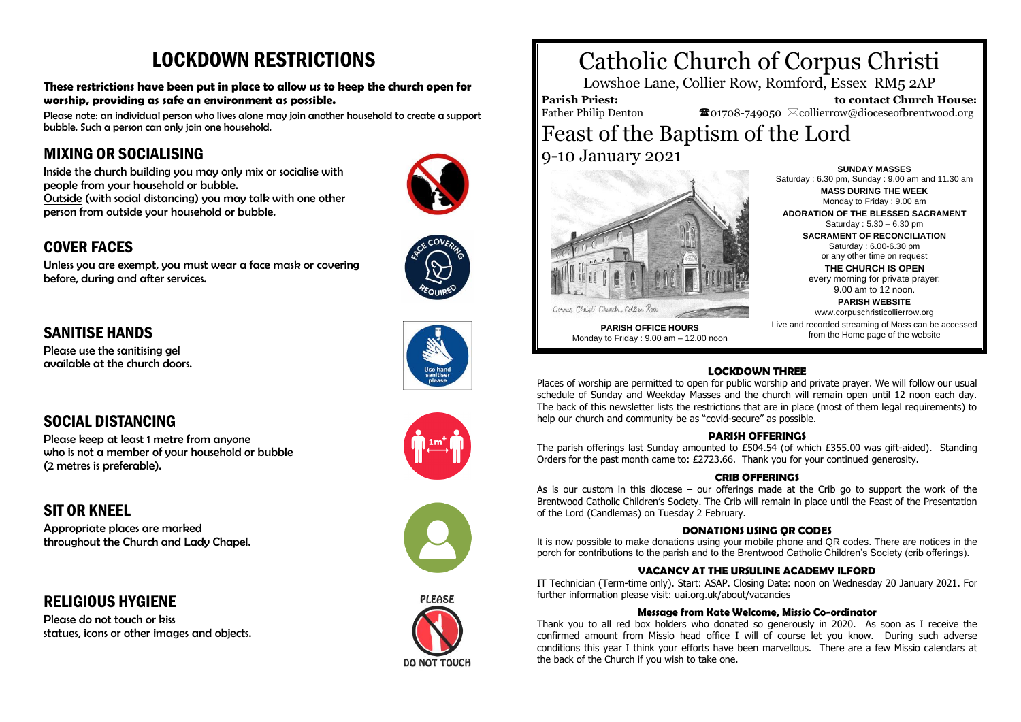# LOCKDOWN RESTRICTIONS

**These restrictions have been put in place to allow us to keep the church open for worship, providing as safe an environment as possible.** 

Please note: an individual person who lives alone may join another household to create a support bubble. Such a person can only join one household.

### MIXING OR SOCIALISING

Inside the church building you may only mix or socialise with people from your household or bubble. Outside (with social distancing) you may talk with one other person from outside your household or bubble.

### COVER FACES

Unless you are exempt, you must wear a face mask or covering before, during and after services.



### SANITISE HANDS

Please use the sanitising gel available at the church doors.



### SOCIAL DISTANCING

Please keep at least 1 metre from anyone who is not a member of your household or bubble (2 metres is preferable).

### SIT OR KNEEL

Appropriate places are marked throughout the Church and Lady Chapel.

RELIGIOUS HYGIENE

Please do not touch or kiss statues, icons or other images and objects.





# Catholic Church of Corpus Christi

Lowshoe Lane, Collier Row, Romford, Essex RM5 2AP

**Parish Priest:** Father Philip Denton

 **to contact Church House:**  $\bullet$ 01708-749050  $\boxtimes$ collierrow@dioceseofbrentwood.org

## Feast of the Baptism of the Lord 9-10 January 2021



Corner Christi Church, Collier Roa **PARISH OFFICE HOURS**

Monday to Friday : 9.00 am – 12.00 noon

**SUNDAY MASSES** Saturday : 6.30 pm, Sunday : 9.00 am and 11.30 am **MASS DURING THE WEEK**

Monday to Friday : 9.00 am **ADORATION OF THE BLESSED SACRAMENT** Saturday : 5.30 – 6.30 pm **SACRAMENT OF RECONCILIATION** Saturday : 6.00-6.30 pm

> or any other time on request **THE CHURCH IS OPEN**

every morning for private prayer: 9.00 am to 12 noon.

**PARISH WEBSITE** www.corpuschristicollierrow.org

Live and recorded streaming of Mass can be accessed from the Home page of the website

#### **LOCKDOWN THREE**

Places of worship are permitted to open for public worship and private prayer. We will follow our usual schedule of Sunday and Weekday Masses and the church will remain open until 12 noon each day. The back of this newsletter lists the restrictions that are in place (most of them legal requirements) to help our church and community be as "covid-secure" as possible.

#### **PARISH OFFERINGS**

The parish offerings last Sunday amounted to £504.54 (of which £355.00 was gift-aided). Standing Orders for the past month came to: £2723.66. Thank you for your continued generosity.

#### **CRIB OFFERINGS**

As is our custom in this diocese – our offerings made at the Crib go to support the work of the Brentwood Catholic Children's Society. The Crib will remain in place until the Feast of the Presentation of the Lord (Candlemas) on Tuesday 2 February.

#### **DONATIONS USING QR CODES**

It is now possible to make donations using your mobile phone and QR codes. There are notices in the porch for contributions to the parish and to the Brentwood Catholic Children's Society (crib offerings).

#### **VACANCY AT THE URSULINE ACADEMY ILFORD**

IT Technician (Term-time only). Start: ASAP. Closing Date: noon on Wednesday 20 January 2021. For further information please visit: uai.org.uk/about/vacancies

#### **Message from Kate Welcome, Missio Co-ordinator**

Thank you to all red box holders who donated so generously in 2020. As soon as I receive the confirmed amount from Missio head office I will of course let you know. During such adverse conditions this year I think your efforts have been marvellous. There are a few Missio calendars at the back of the Church if you wish to take one.